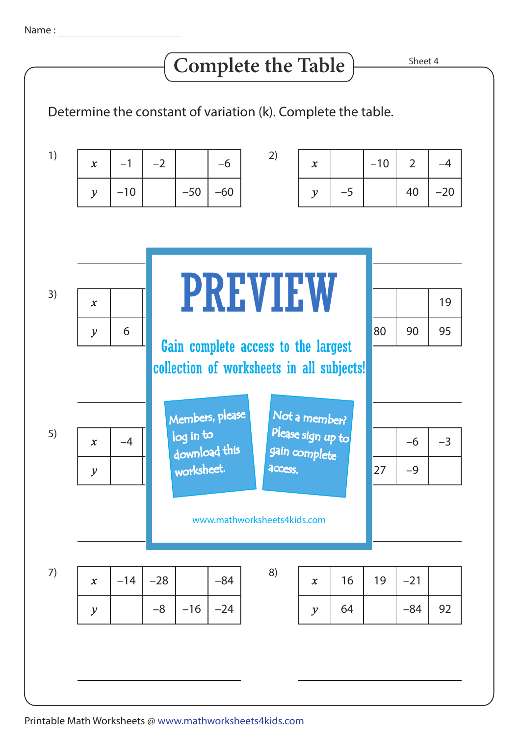